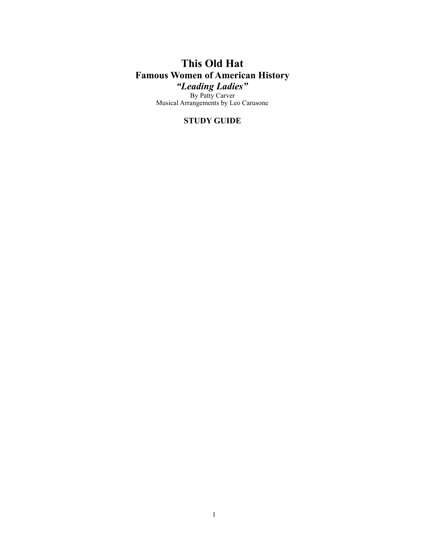# **This Old Hat Famous Women of American History** *"Leading Ladies"*

By Patty Carver Musical Arrangements by Leo Carusone

## **STUDY GUIDE**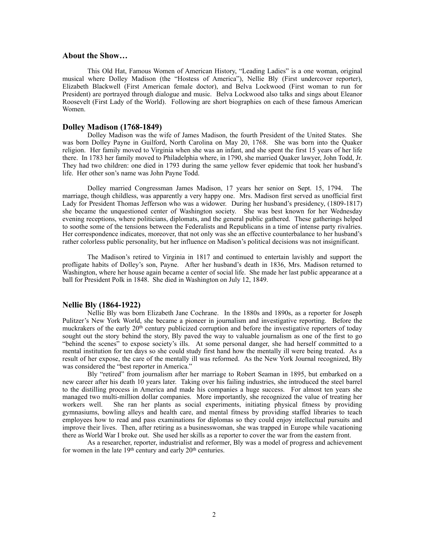#### **About the Show…**

 This Old Hat, Famous Women of American History, "Leading Ladies" is a one woman, original musical where Dolley Madison (the "Hostess of America"), Nellie Bly (First undercover reporter), Elizabeth Blackwell (First American female doctor), and Belva Lockwood (First woman to run for President) are portrayed through dialogue and music. Belva Lockwood also talks and sings about Eleanor Roosevelt (First Lady of the World). Following are short biographies on each of these famous American Women.

#### **Dolley Madison (1768-1849)**

 Dolley Madison was the wife of James Madison, the fourth President of the United States. She was born Dolley Payne in Guilford, North Carolina on May 20, 1768. She was born into the Quaker religion. Her family moved to Virginia when she was an infant, and she spent the first 15 years of her life there. In 1783 her family moved to Philadelphia where, in 1790, she married Quaker lawyer, John Todd, Jr. They had two children: one died in 1793 during the same yellow fever epidemic that took her husband's life. Her other son's name was John Payne Todd.

 Dolley married Congressman James Madison, 17 years her senior on Sept. 15, 1794. The marriage, though childless, was apparently a very happy one. Mrs. Madison first served as unofficial first Lady for President Thomas Jefferson who was a widower. During her husband's presidency, (1809-1817) she became the unquestioned center of Washington society. She was best known for her Wednesday evening receptions, where politicians, diplomats, and the general public gathered. These gatherings helped to soothe some of the tensions between the Federalists and Republicans in a time of intense party rivalries. Her correspondence indicates, moreover, that not only was she an effective counterbalance to her husband's rather colorless public personality, but her influence on Madison's political decisions was not insignificant.

 The Madison's retired to Virginia in 1817 and continued to entertain lavishly and support the profligate habits of Dolley's son, Payne. After her husband's death in 1836, Mrs. Madison returned to Washington, where her house again became a center of social life. She made her last public appearance at a ball for President Polk in 1848. She died in Washington on July 12, 1849.

#### **Nellie Bly (1864-1922)**

 Nellie Bly was born Elizabeth Jane Cochrane. In the 1880s and 1890s, as a reporter for Joseph Pulitzer's New York World, she became a pioneer in journalism and investigative reporting. Before the muckrakers of the early 20<sup>th</sup> century publicized corruption and before the investigative reporters of today sought out the story behind the story, Bly paved the way to valuable journalism as one of the first to go "behind the scenes" to expose society's ills. At some personal danger, she had herself committed to a mental institution for ten days so she could study first hand how the mentally ill were being treated. As a result of her expose, the care of the mentally ill was reformed. As the New York Journal recognized, Bly was considered the "best reporter in America."

 Bly "retired" from journalism after her marriage to Robert Seaman in 1895, but embarked on a new career after his death 10 years later. Taking over his failing industries, she introduced the steel barrel to the distilling process in America and made his companies a huge success. For almost ten years she managed two multi-million dollar companies. More importantly, she recognized the value of treating her workers well. She ran her plants as social experiments, initiating physical fitness by providing gymnasiums, bowling alleys and health care, and mental fitness by providing staffed libraries to teach employees how to read and pass examinations for diplomas so they could enjoy intellectual pursuits and improve their lives. Then, after retiring as a businesswoman, she was trapped in Europe while vacationing there as World War I broke out. She used her skills as a reporter to cover the war from the eastern front.

 As a researcher, reporter, industrialist and reformer, Bly was a model of progress and achievement for women in the late  $19<sup>th</sup>$  century and early  $20<sup>th</sup>$  centuries.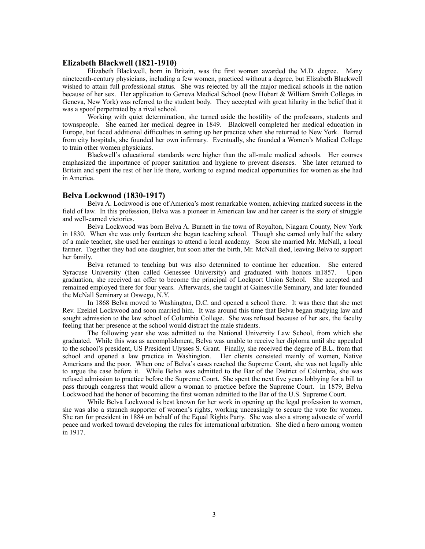#### **Elizabeth Blackwell (1821-1910)**

 Elizabeth Blackwell, born in Britain, was the first woman awarded the M.D. degree. Many nineteenth-century physicians, including a few women, practiced without a degree, but Elizabeth Blackwell wished to attain full professional status. She was rejected by all the major medical schools in the nation because of her sex. Her application to Geneva Medical School (now Hobart & William Smith Colleges in Geneva, New York) was referred to the student body. They accepted with great hilarity in the belief that it was a spoof perpetrated by a rival school.

 Working with quiet determination, she turned aside the hostility of the professors, students and townspeople. She earned her medical degree in 1849. Blackwell completed her medical education in Europe, but faced additional difficulties in setting up her practice when she returned to New York. Barred from city hospitals, she founded her own infirmary. Eventually, she founded a Women's Medical College to train other women physicians.

 Blackwell's educational standards were higher than the all-male medical schools. Her courses emphasized the importance of proper sanitation and hygiene to prevent diseases. She later returned to Britain and spent the rest of her life there, working to expand medical opportunities for women as she had in America.

#### **Belva Lockwood (1830-1917)**

 Belva A. Lockwood is one of America's most remarkable women, achieving marked success in the field of law. In this profession, Belva was a pioneer in American law and her career is the story of struggle and well-earned victories.

 Belva Lockwood was born Belva A. Burnett in the town of Royalton, Niagara County, New York in 1830. When she was only fourteen she began teaching school. Though she earned only half the salary of a male teacher, she used her earnings to attend a local academy. Soon she married Mr. McNall, a local farmer. Together they had one daughter, but soon after the birth, Mr. McNall died, leaving Belva to support her family.

 Belva returned to teaching but was also determined to continue her education. She entered Syracuse University (then called Genessee University) and graduated with honors in1857. Upon graduation, she received an offer to become the principal of Lockport Union School. She accepted and remained employed there for four years. Afterwards, she taught at Gainesville Seminary, and later founded the McNall Seminary at Oswego, N.Y.

 In 1868 Belva moved to Washington, D.C. and opened a school there. It was there that she met Rev. Ezekiel Lockwood and soon married him. It was around this time that Belva began studying law and sought admission to the law school of Columbia College. She was refused because of her sex, the faculty feeling that her presence at the school would distract the male students.

 The following year she was admitted to the National University Law School, from which she graduated. While this was as accomplishment, Belva was unable to receive her diploma until she appealed to the school's president, US President Ulysses S. Grant. Finally, she received the degree of B.L. from that school and opened a law practice in Washington. Her clients consisted mainly of women, Native Americans and the poor. When one of Belva's cases reached the Supreme Court, she was not legally able to argue the case before it. While Belva was admitted to the Bar of the District of Columbia, she was refused admission to practice before the Supreme Court. She spent the next five years lobbying for a bill to pass through congress that would allow a woman to practice before the Supreme Court. In 1879, Belva Lockwood had the honor of becoming the first woman admitted to the Bar of the U.S. Supreme Court.

 While Belva Lockwood is best known for her work in opening up the legal profession to women, she was also a staunch supporter of women's rights, working unceasingly to secure the vote for women. She ran for president in 1884 on behalf of the Equal Rights Party. She was also a strong advocate of world peace and worked toward developing the rules for international arbitration. She died a hero among women in 1917.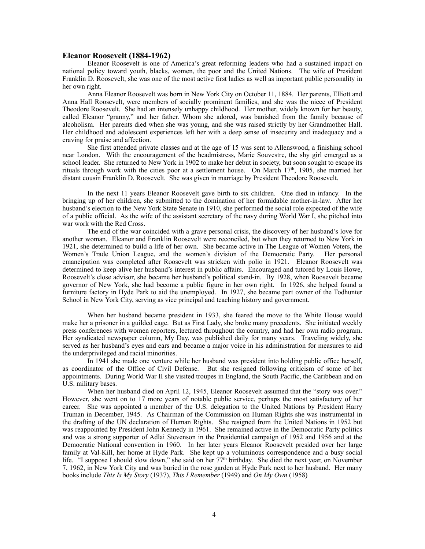#### **Eleanor Roosevelt (1884-1962)**

 Eleanor Roosevelt is one of America's great reforming leaders who had a sustained impact on national policy toward youth, blacks, women, the poor and the United Nations. The wife of President Franklin D. Roosevelt, she was one of the most active first ladies as well as important public personality in her own right.

 Anna Eleanor Roosevelt was born in New York City on October 11, 1884. Her parents, Elliott and Anna Hall Roosevelt, were members of socially prominent families, and she was the niece of President Theodore Roosevelt. She had an intensely unhappy childhood. Her mother, widely known for her beauty, called Eleanor "granny," and her father. Whom she adored, was banished from the family because of alcoholism. Her parents died when she was young, and she was raised strictly by her Grandmother Hall. Her childhood and adolescent experiences left her with a deep sense of insecurity and inadequacy and a craving for praise and affection.

 She first attended private classes and at the age of 15 was sent to Allenswood, a finishing school near London. With the encouragement of the headmistress, Marie Souvestre, the shy girl emerged as a school leader. She returned to New York in 1902 to make her debut in society, but soon sought to escape its rituals through work with the cities poor at a settlement house. On March 17th, 1905, she married her distant cousin Franklin D. Roosevelt. She was given in marriage by President Theodore Roosevelt.

 In the next 11 years Eleanor Roosevelt gave birth to six children. One died in infancy. In the bringing up of her children, she submitted to the domination of her formidable mother-in-law. After her husband's election to the New York State Senate in 1910, she performed the social role expected of the wife of a public official. As the wife of the assistant secretary of the navy during World War I, she pitched into war work with the Red Cross.

 The end of the war coincided with a grave personal crisis, the discovery of her husband's love for another woman. Eleanor and Franklin Roosevelt were reconciled, but when they returned to New York in 1921, she determined to build a life of her own. She became active in The League of Women Voters, the Women's Trade Union League, and the women's division of the Democratic Party. Her personal emancipation was completed after Roosevelt was stricken with polio in 1921. Eleanor Roosevelt was determined to keep alive her husband's interest in public affairs. Encouraged and tutored by Louis Howe, Roosevelt's close advisor, she became her husband's political stand-in. By 1928, when Roosevelt became governor of New York, she had become a public figure in her own right. In 1926, she helped found a furniture factory in Hyde Park to aid the unemployed. In 1927, she became part owner of the Todhunter School in New York City, serving as vice principal and teaching history and government.

 When her husband became president in 1933, she feared the move to the White House would make her a prisoner in a guilded cage. But as First Lady, she broke many precedents. She initiated weekly press conferences with women reporters, lectured throughout the country, and had her own radio program. Her syndicated newspaper column, My Day, was published daily for many years. Traveling widely, she served as her husband's eyes and ears and became a major voice in his administration for measures to aid the underprivileged and racial minorities.

 In 1941 she made one venture while her husband was president into holding public office herself, as coordinator of the Office of Civil Defense. But she resigned following criticism of some of her appointments. During World War II she visited troupes in England, the South Pacific, the Caribbean and on U.S. military bases.

 When her husband died on April 12, 1945, Eleanor Roosevelt assumed that the "story was over." However, she went on to 17 more years of notable public service, perhaps the most satisfactory of her career. She was appointed a member of the U.S. delegation to the United Nations by President Harry Truman in December, 1945. As Chairman of the Commission on Human Rights she was instrumental in the drafting of the UN declaration of Human Rights. She resigned from the United Nations in 1952 but was reappointed by President John Kennedy in 1961. She remained active in the Democratic Party politics and was a strong supporter of Adlai Stevenson in the Presidential campaign of 1952 and 1956 and at the Democratic National convention in 1960. In her later years Eleanor Roosevelt presided over her large family at Val-Kill, her home at Hyde Park. She kept up a voluminous correspondence and a busy social life. "I suppose I should slow down," she said on her  $77<sup>th</sup>$  birthday. She died the next year, on November 7, 1962, in New York City and was buried in the rose garden at Hyde Park next to her husband. Her many books include *This Is My Story* (1937), *This I Remember* (1949) and *On My Own* (1958)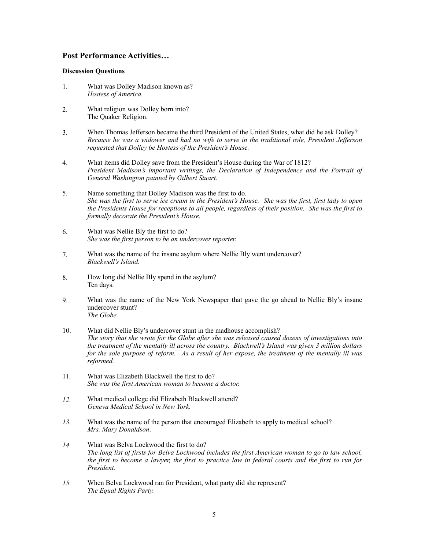## **Post Performance Activities…**

#### **Discussion Questions**

- 1. What was Dolley Madison known as? *Hostess of America.*
- 2. What religion was Dolley born into? The Quaker Religion.
- 3. When Thomas Jefferson became the third President of the United States, what did he ask Dolley? *Because he was a widower and had no wife to serve in the traditional role, President Jefferson requested that Dolley be Hostess of the President's House.*
- 4. What items did Dolley save from the President's House during the War of 1812? *President Madison's important writings, the Declaration of Independence and the Portrait of General Washington painted by Gilbert Stuart.*
- 5. Name something that Dolley Madison was the first to do. *She was the first to serve ice cream in the President's House. She was the first, first lady to open the Presidents House for receptions to all people, regardless of their position. She was the first to formally decorate the President's House.*
- 6. What was Nellie Bly the first to do? *She was the first person to be an undercover reporter.*
- 7. What was the name of the insane asylum where Nellie Bly went undercover? *Blackwell's Island.*
- 8. How long did Nellie Bly spend in the asylum? Ten days.
- 9. What was the name of the New York Newspaper that gave the go ahead to Nellie Bly's insane undercover stunt? *The Globe.*
- 10. What did Nellie Bly's undercover stunt in the madhouse accomplish? *The story that she wrote for the Globe after she was released caused dozens of investigations into the treatment of the mentally ill across the country. Blackwell's Island was given 3 million dollars for the sole purpose of reform. As a result of her expose, the treatment of the mentally ill was reformed.*
- 11. What was Elizabeth Blackwell the first to do? *She was the first American woman to become a doctor.*
- *12.* What medical college did Elizabeth Blackwell attend? *Geneva Medical School in New York.*
- *13.* What was the name of the person that encouraged Elizabeth to apply to medical school? *Mrs. Mary Donaldson*.
- *14.* What was Belva Lockwood the first to do? *The long list of firsts for Belva Lockwood includes the first American woman to go to law school, the first to become a lawyer, the first to practice law in federal courts and the first to run for President.*
- *15.* When Belva Lockwood ran for President, what party did she represent? *The Equal Rights Party.*